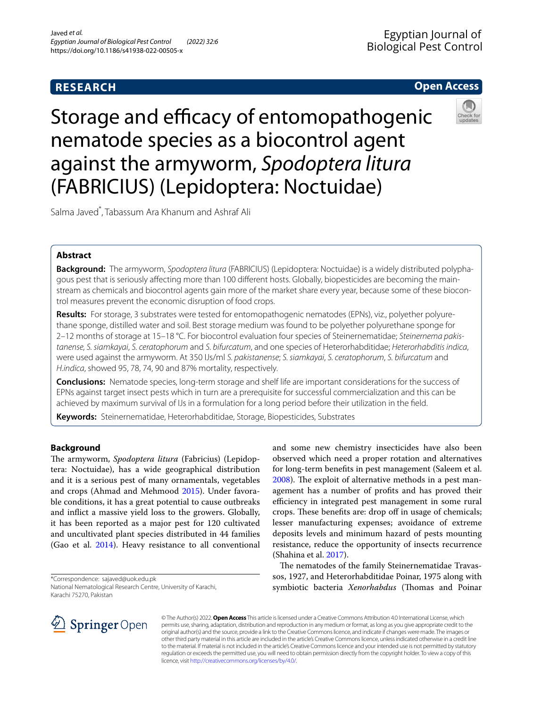# **RESEARCH**

# **Open Access**

Storage and efficacy of entomopathogenic nematode species as a biocontrol agent against the armyworm, *Spodoptera litura* (FABRICIUS) (Lepidoptera: Noctuidae)

Salma Javed\* , Tabassum Ara Khanum and Ashraf Ali

# **Abstract**

**Background:** The armyworm, *Spodoptera litura* (FABRICIUS) (Lepidoptera: Noctuidae) is a widely distributed polyphagous pest that is seriously afecting more than 100 diferent hosts. Globally, biopesticides are becoming the mainstream as chemicals and biocontrol agents gain more of the market share every year, because some of these biocontrol measures prevent the economic disruption of food crops.

**Results:** For storage, 3 substrates were tested for entomopathogenic nematodes (EPNs), viz., polyether polyurethane sponge, distilled water and soil. Best storage medium was found to be polyether polyurethane sponge for 2–12 months of storage at 15–18 °C. For biocontrol evaluation four species of Steinernematidae; *Steinernema pakistanense, S. siamkayai*, *S. ceratophorum* and *S. bifurcatum*, and one species of Heterorhabditidae; *Heterorhabditis indica*, were used against the armyworm. At 350 IJs/ml *S. pakistanense*; *S. siamkayai*, *S. ceratophorum*, *S. bifurcatum* and *H.indica*, showed 95, 78, 74, 90 and 87% mortality, respectively.

**Conclusions:** Nematode species, long-term storage and shelf life are important considerations for the success of EPNs against target insect pests which in turn are a prerequisite for successful commercialization and this can be achieved by maximum survival of IJs in a formulation for a long period before their utilization in the feld.

**Keywords:** Steinernematidae, Heterorhabditidae, Storage, Biopesticides, Substrates

# **Background**

The armyworm, *Spodoptera litura* (Fabricius) (Lepidoptera: Noctuidae), has a wide geographical distribution and it is a serious pest of many ornamentals, vegetables and crops (Ahmad and Mehmood [2015](#page-4-0)). Under favorable conditions, it has a great potential to cause outbreaks and infict a massive yield loss to the growers. Globally, it has been reported as a major pest for 120 cultivated and uncultivated plant species distributed in 44 families (Gao et al. [2014\)](#page-4-1). Heavy resistance to all conventional

\*Correspondence: sajaved@uok.edu.pk

and some new chemistry insecticides have also been observed which need a proper rotation and alternatives for long-term benefts in pest management (Saleem et al. [2008](#page-4-2)). The exploit of alternative methods in a pest management has a number of profts and has proved their efficiency in integrated pest management in some rural crops. These benefits are: drop off in usage of chemicals; lesser manufacturing expenses; avoidance of extreme deposits levels and minimum hazard of pests mounting resistance, reduce the opportunity of insects recurrence (Shahina et al. [2017](#page-4-3)).

The nematodes of the family Steinernematidae Travassos, 1927, and Heterorhabditidae Poinar, 1975 along with symbiotic bacteria *Xenorhabdus* (Thomas and Poinar



© The Author(s) 2022. **Open Access** This article is licensed under a Creative Commons Attribution 4.0 International License, which permits use, sharing, adaptation, distribution and reproduction in any medium or format, as long as you give appropriate credit to the original author(s) and the source, provide a link to the Creative Commons licence, and indicate if changes were made. The images or other third party material in this article are included in the article's Creative Commons licence, unless indicated otherwise in a credit line to the material. If material is not included in the article's Creative Commons licence and your intended use is not permitted by statutory regulation or exceeds the permitted use, you will need to obtain permission directly from the copyright holder. To view a copy of this licence, visit [http://creativecommons.org/licenses/by/4.0/.](http://creativecommons.org/licenses/by/4.0/)

National Nematological Research Centre, University of Karachi, Karachi 75270, Pakistan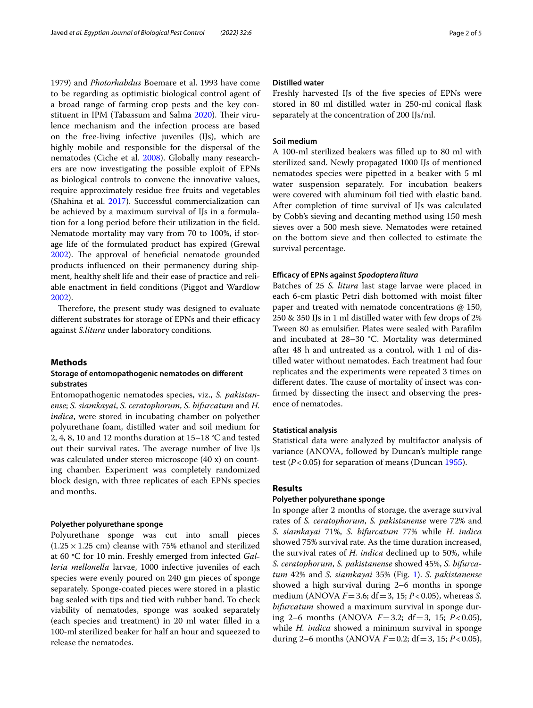1979) and *Photorhabdus* Boemare et al. 1993 have come to be regarding as optimistic biological control agent of a broad range of farming crop pests and the key con-stituent in IPM (Tabassum and Salma [2020\)](#page-4-4). Their virulence mechanism and the infection process are based on the free-living infective juveniles (IJs), which are highly mobile and responsible for the dispersal of the nematodes (Ciche et al. [2008](#page-4-5)). Globally many researchers are now investigating the possible exploit of EPNs as biological controls to convene the innovative values, require approximately residue free fruits and vegetables (Shahina et al. [2017\)](#page-4-3). Successful commercialization can be achieved by a maximum survival of IJs in a formulation for a long period before their utilization in the feld. Nematode mortality may vary from 70 to 100%, if storage life of the formulated product has expired (Grewal [2002](#page-4-6)). The approval of beneficial nematode grounded products infuenced on their permanency during shipment, healthy shelf life and their ease of practice and reliable enactment in feld conditions (Piggot and Wardlow [2002](#page-4-7)).

Therefore, the present study was designed to evaluate different substrates for storage of EPNs and their efficacy against *S.litura* under laboratory conditions*.*

### **Methods**

# **Storage of entomopathogenic nematodes on diferent substrates**

Entomopathogenic nematodes species, viz., *S. pakistanense*; *S. siamkayai*, *S. ceratophorum*, *S. bifurcatum* and *H. indica*, were stored in incubating chamber on polyether polyurethane foam, distilled water and soil medium for 2, 4, 8, 10 and 12 months duration at 15–18 °C and tested out their survival rates. The average number of live IJs was calculated under stereo microscope (40 x) on counting chamber. Experiment was completely randomized block design, with three replicates of each EPNs species and months.

## **Polyether polyurethane sponge**

Polyurethane sponge was cut into small pieces  $(1.25 \times 1.25$  cm) cleanse with 75% ethanol and sterilized at 60 ºC for 10 min. Freshly emerged from infected *Galleria mellonella* larvae, 1000 infective juveniles of each species were evenly poured on 240 gm pieces of sponge separately. Sponge-coated pieces were stored in a plastic bag sealed with tips and tied with rubber band. To check viability of nematodes, sponge was soaked separately (each species and treatment) in 20 ml water flled in a 100-ml sterilized beaker for half an hour and squeezed to release the nematodes.

# **Distilled water**

Freshly harvested IJs of the fve species of EPNs were stored in 80 ml distilled water in 250-ml conical fask separately at the concentration of 200 IJs/ml.

# **Soil medium**

A 100-ml sterilized beakers was flled up to 80 ml with sterilized sand. Newly propagated 1000 IJs of mentioned nematodes species were pipetted in a beaker with 5 ml water suspension separately. For incubation beakers were covered with aluminum foil tied with elastic band. After completion of time survival of IJs was calculated by Cobb's sieving and decanting method using 150 mesh sieves over a 500 mesh sieve. Nematodes were retained on the bottom sieve and then collected to estimate the survival percentage.

### <span id="page-1-0"></span>**Efcacy of EPNs against** *Spodoptera litura*

Batches of 25 *S. litura* last stage larvae were placed in each 6-cm plastic Petri dish bottomed with moist flter paper and treated with nematode concentrations @ 150, 250 & 350 IJs in 1 ml distilled water with few drops of 2% Tween 80 as emulsifer. Plates were sealed with Paraflm and incubated at 28–30 °C. Mortality was determined after 48 h and untreated as a control, with 1 ml of distilled water without nematodes. Each treatment had four replicates and the experiments were repeated 3 times on different dates. The cause of mortality of insect was confrmed by dissecting the insect and observing the presence of nematodes.

# **Statistical analysis**

Statistical data were analyzed by multifactor analysis of variance (ANOVA, followed by Duncan's multiple range test  $(P<0.05)$  for separation of means (Duncan [1955\)](#page-4-8).

# **Results**

## **Polyether polyurethane sponge**

In sponge after 2 months of storage, the average survival rates of *S. ceratophorum*, *S. pakistanense* were 72% and *S. siamkayai* 71%, *S. bifurcatum* 77% while *H. indica* showed 75% survival rate. As the time duration increased, the survival rates of *H. indica* declined up to 50%, while *S. ceratophorum*, *S. pakistanense* showed 45%, *S. bifurcatum* 42% and *S. siamkayai* 35% (Fig. [1\)](#page-2-0). *S. pakistanense* showed a high survival during 2–6 months in sponge medium (ANOVA *F*=3.6; df=3, 15; *P*<0.05), whereas *S. bifurcatum* showed a maximum survival in sponge during 2–6 months (ANOVA *F*=3.2; df=3, 15; *P*<0.05), while *H. indica* showed a minimum survival in sponge during 2–6 months (ANOVA  $F=0.2$ ; df = 3, 15;  $P < 0.05$ ),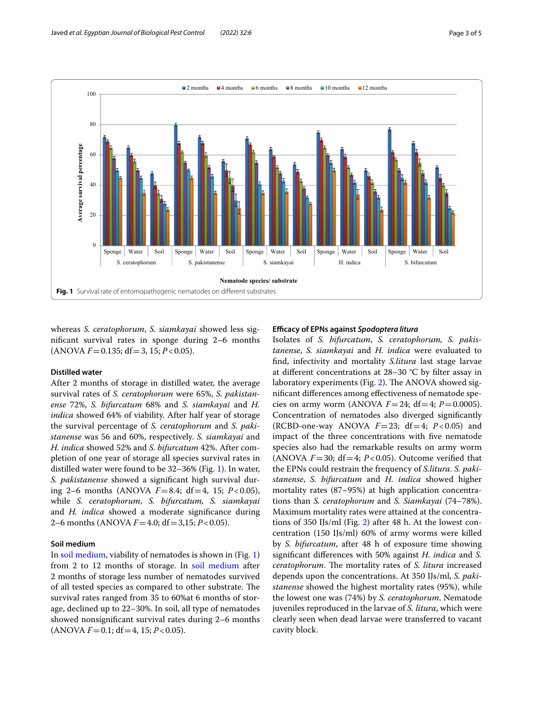

<span id="page-2-0"></span>whereas *S. ceratophorum*, *S. siamkayai* showed less signifcant survival rates in sponge during 2–6 months  $(ANOVA F = 0.135; df = 3, 15; P < 0.05).$ 

### **Distilled water**

After 2 months of storage in distilled water, the average survival rates of *S. ceratophorum* were 65%, *S. pakistanense* 72%, *S. bifurcatum* 68% and *S. siamkayai* and *H. indica* showed 64% of viability. After half year of storage the survival percentage of *S. ceratophorum* and *S. pakistanense* was 56 and 60%, respectively. *S. siamkayai* and *H. indica* showed 52% and *S. bifurcatum* 42%. After completion of one year of storage all species survival rates in distilled water were found to be 32–36% (Fig. [1](#page-2-0)). In water, *S. pakistanense* showed a signifcant high survival during 2–6 months (ANOVA  $F=8.4$ ; df = 4, 15;  $P<0.05$ ), while *S. ceratophorum*, *S. bifurcatum, S. siamkayai* and *H. indica* showed a moderate signifcance during 2–6 months (ANOVA *F*=4.0; df=3,15; *P*<0.05).

# **Soil medium**

In [soil medium](#page-1-0), viability of nematodes is shown in (Fig. [1](#page-2-0)) from 2 to 12 months of storage. In [soil medium](#page-1-0) after 2 months of storage less number of nematodes survived of all tested species as compared to other substrate. The survival rates ranged from 35 to 60%at 6 months of storage, declined up to 22–30%. In soil, all type of nematodes showed nonsignifcant survival rates during 2–6 months  $(ANOVA F = 0.1; df = 4, 15; P < 0.05).$ 

### **Efcacy of EPNs against** *Spodoptera litura*

Isolates of *S. bifurcatum*, *S. ceratophorum, S. pakistanense*, *S. siamkayai* and *H. indica* were evaluated to fnd, infectivity and mortality *S.litura* last stage larvae at diferent concentrations at 28–30 °C by flter assay in laboratory experiments (Fig.  $2$ ). The ANOVA showed signifcant diferences among efectiveness of nematode species on army worm (ANOVA  $F = 24$ ; df = 4;  $P = 0.0005$ ). Concentration of nematodes also diverged signifcantly (RCBD-one-way ANOVA  $F=23$ ; df=4;  $P<0.05$ ) and impact of the three concentrations with fve nematode species also had the remarkable results on army worm (ANOVA  $F=30$ ; df $=4$ ;  $P<0.05$ ). Outcome verified that the EPNs could restrain the frequency of *S.litura*. *S. pakistanense*, *S. bifurcatum* and *H. indica* showed higher mortality rates (87–95%) at high application concentrations than *S. ceratophorum* and *S. Siamkayai* (74–78%). Maximum mortality rates were attained at the concentrations of 350 IJs/ml (Fig. [2](#page-3-0)) after 48 h. At the lowest concentration (150 IJs/ml) 60% of army worms were killed by *S. bifurcatum*, after 48 h of exposure time showing signifcant diferences with 50% against *H. indica* and *S. ceratophorum*. The mortality rates of *S. litura* increased depends upon the concentrations. At 350 IJs/ml, *S. pakistanense* showed the highest mortality rates (95%), while the lowest one was (74%) by *S. ceratophorum*. Nematode juveniles reproduced in the larvae of *S. litura*, which were clearly seen when dead larvae were transferred to vacant cavity block.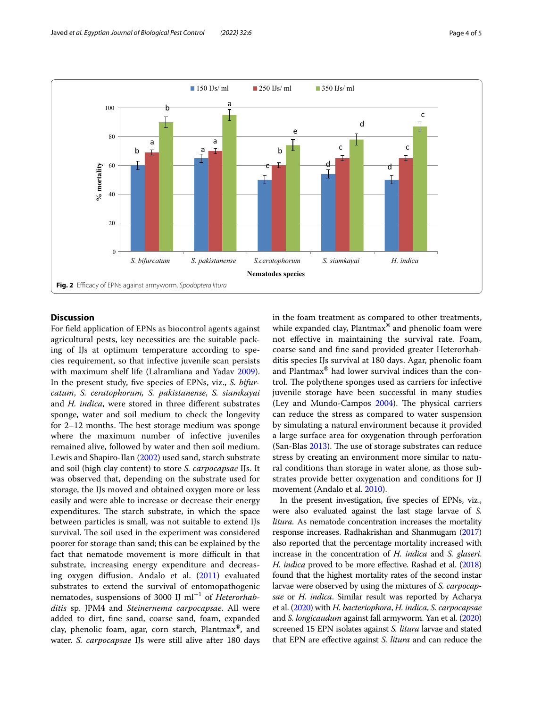

# <span id="page-3-0"></span>**Discussion**

For feld application of EPNs as biocontrol agents against agricultural pests, key necessities are the suitable packing of IJs at optimum temperature according to species requirement, so that infective juvenile scan persists with maximum shelf life (Lalramliana and Yadav [2009](#page-4-9)). In the present study, fve species of EPNs, viz., *S. bifurcatum*, *S. ceratophorum, S. pakistanense*, *S. siamkayai* and *H. indica*, were stored in three diferent substrates sponge, water and soil medium to check the longevity for  $2-12$  months. The best storage medium was sponge where the maximum number of infective juveniles remained alive, followed by water and then soil medium. Lewis and Shapiro-Ilan [\(2002](#page-4-10)) used sand, starch substrate and soil (high clay content) to store *S. carpocapsae* IJs. It was observed that, depending on the substrate used for storage, the IJs moved and obtained oxygen more or less easily and were able to increase or decrease their energy expenditures. The starch substrate, in which the space between particles is small, was not suitable to extend IJs survival. The soil used in the experiment was considered poorer for storage than sand; this can be explained by the fact that nematode movement is more difficult in that substrate, increasing energy expenditure and decreasing oxygen difusion. Andalo et al. ([2011](#page-4-11)) evaluated substrates to extend the survival of entomopathogenic nematodes, suspensions of 3000 IJ ml<sup>−</sup><sup>1</sup> of *Heterorhabditis* sp. JPM4 and *Steinernema carpocapsae*. All were added to dirt, fne sand, coarse sand, foam, expanded clay, phenolic foam, agar, corn starch, Plantmax®, and water. *S. carpocapsae* IJs were still alive after 180 days in the foam treatment as compared to other treatments, while expanded clay, Plantmax<sup>®</sup> and phenolic foam were not efective in maintaining the survival rate. Foam, coarse sand and fne sand provided greater Heterorhabditis species IJs survival at 180 days. Agar, phenolic foam and Plantmax® had lower survival indices than the control. The polythene sponges used as carriers for infective juvenile storage have been successful in many studies (Ley and Mundo-Campos  $2004$ ). The physical carriers can reduce the stress as compared to water suspension by simulating a natural environment because it provided a large surface area for oxygenation through perforation (San-Blas  $2013$ ). The use of storage substrates can reduce stress by creating an environment more similar to natural conditions than storage in water alone, as those substrates provide better oxygenation and conditions for IJ movement (Andalo et al. [2010](#page-4-14)).

In the present investigation, fve species of EPNs, viz., were also evaluated against the last stage larvae of *S. litura.* As nematode concentration increases the mortality response increases. Radhakrishan and Shanmugam [\(2017](#page-4-15)) also reported that the percentage mortality increased with increase in the concentration of *H. indica* and *S. glaseri*. *H. indica* proved to be more effective. Rashad et al. [\(2018](#page-4-16)) found that the highest mortality rates of the second instar larvae were observed by using the mixtures of *S. carpocapsae* or *H. indica*. Similar result was reported by Acharya et al. [\(2020\)](#page-4-17) with *H. bacteriophora*, *H. indica*, *S. carpocapsae* and *S. longicaudum* against fall armyworm. Yan et al. [\(2020](#page-4-18)) screened 15 EPN isolates against *S. litura* larvae and stated that EPN are efective against *S. litura* and can reduce the